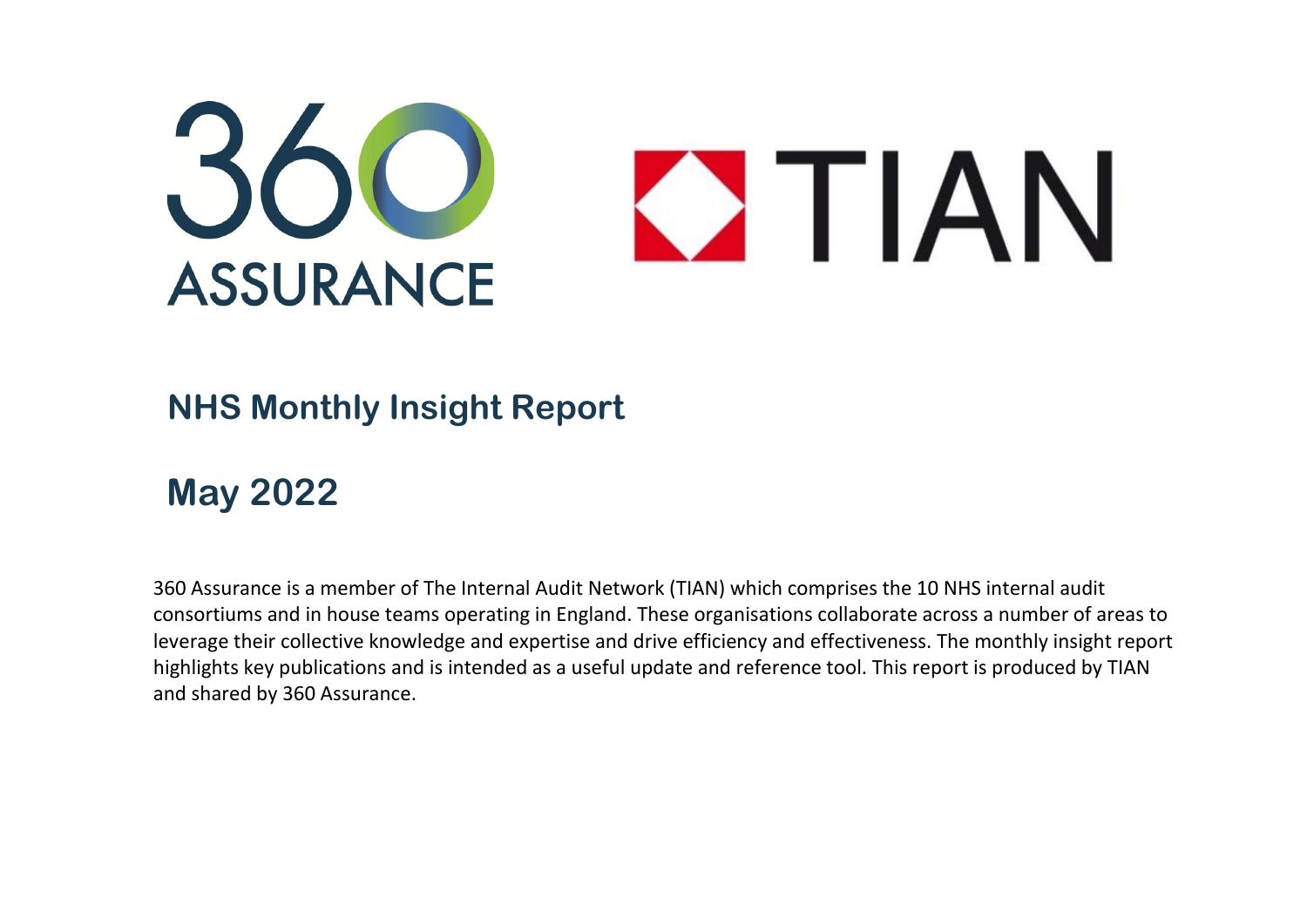

## **NHS Monthly Insight Report**

## **May 2022**

360 Assurance is a member of The Internal Audit Network (TIAN) which comprises the 10 NHS internal audit consortiums and in house teams operating in England. These organisations collaborate across a number of areas to leverage their collective knowledge and expertise and drive efficiency and effectiveness. The monthly insight report highlights key publications and is intended as a useful update and reference tool. This report is produced by TIAN and shared by 360 Assurance.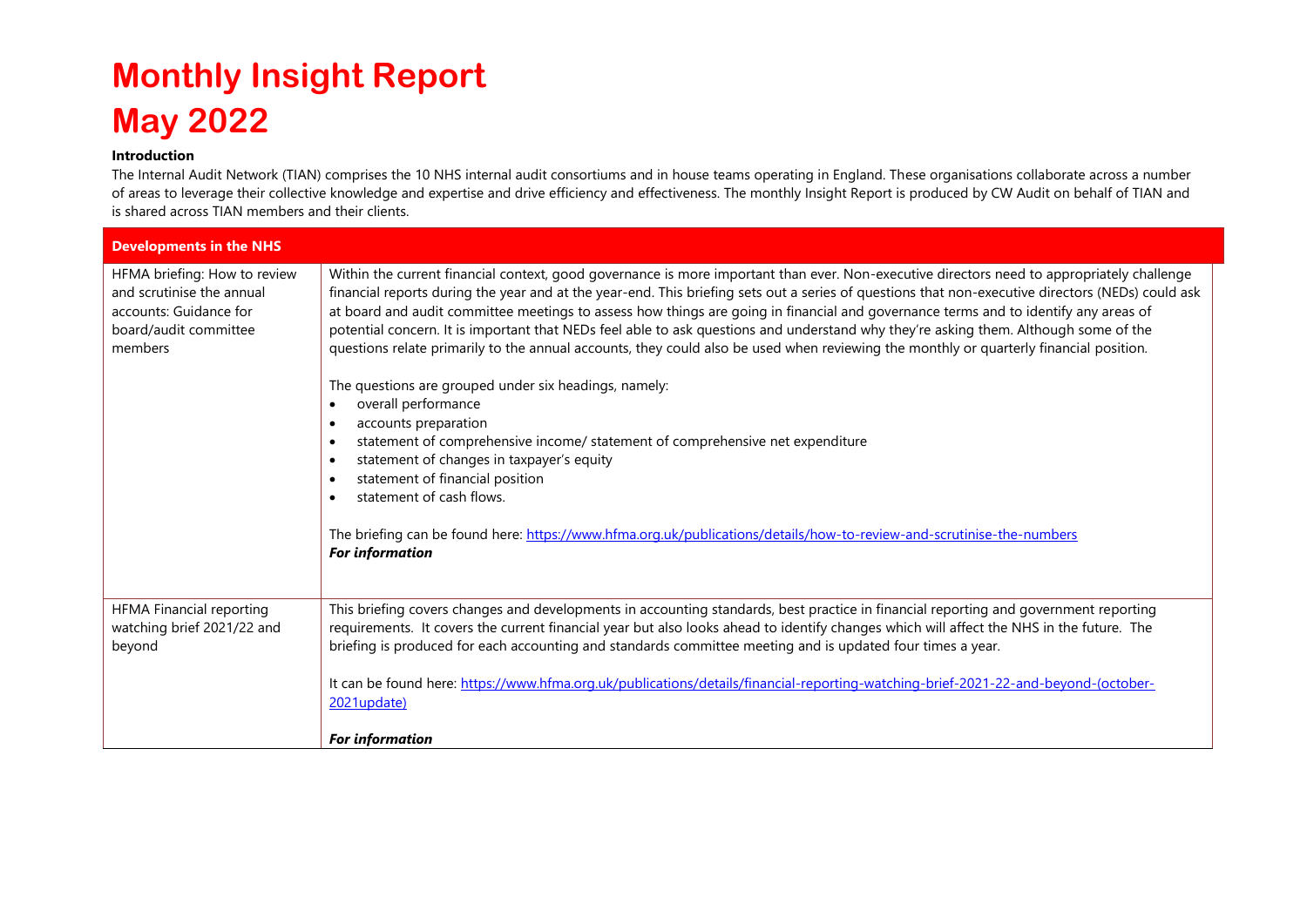## **Monthly Insight Report May 2022**

## **Introduction**

The Internal Audit Network (TIAN) comprises the 10 NHS internal audit consortiums and in house teams operating in England. These organisations collaborate across a number of areas to leverage their collective knowledge and expertise and drive efficiency and effectiveness. The monthly Insight Report is produced by CW Audit on behalf of TIAN and is shared across TIAN members and their clients.

| <b>Developments in the NHS</b>                                                                                          |                                                                                                                                                                                                                                                                                                                                                                                                                                                                                                                                                                                                                                                                                                                                                                                                                                                                                                                                                                                                                                                                                                                                                                                                                                                   |  |
|-------------------------------------------------------------------------------------------------------------------------|---------------------------------------------------------------------------------------------------------------------------------------------------------------------------------------------------------------------------------------------------------------------------------------------------------------------------------------------------------------------------------------------------------------------------------------------------------------------------------------------------------------------------------------------------------------------------------------------------------------------------------------------------------------------------------------------------------------------------------------------------------------------------------------------------------------------------------------------------------------------------------------------------------------------------------------------------------------------------------------------------------------------------------------------------------------------------------------------------------------------------------------------------------------------------------------------------------------------------------------------------|--|
| HFMA briefing: How to review<br>and scrutinise the annual<br>accounts: Guidance for<br>board/audit committee<br>members | Within the current financial context, good governance is more important than ever. Non-executive directors need to appropriately challenge<br>financial reports during the year and at the year-end. This briefing sets out a series of questions that non-executive directors (NEDs) could ask<br>at board and audit committee meetings to assess how things are going in financial and governance terms and to identify any areas of<br>potential concern. It is important that NEDs feel able to ask questions and understand why they're asking them. Although some of the<br>questions relate primarily to the annual accounts, they could also be used when reviewing the monthly or quarterly financial position.<br>The questions are grouped under six headings, namely:<br>overall performance<br>accounts preparation<br>$\bullet$<br>statement of comprehensive income/ statement of comprehensive net expenditure<br>$\bullet$<br>statement of changes in taxpayer's equity<br>$\bullet$<br>statement of financial position<br>$\bullet$<br>statement of cash flows.<br>$\bullet$<br>The briefing can be found here: https://www.hfma.org.uk/publications/details/how-to-review-and-scrutinise-the-numbers<br><b>For information</b> |  |
| <b>HFMA Financial reporting</b><br>watching brief 2021/22 and<br>beyond                                                 | This briefing covers changes and developments in accounting standards, best practice in financial reporting and government reporting<br>requirements. It covers the current financial year but also looks ahead to identify changes which will affect the NHS in the future. The<br>briefing is produced for each accounting and standards committee meeting and is updated four times a year.<br>It can be found here: https://www.hfma.org.uk/publications/details/financial-reporting-watching-brief-2021-22-and-beyond-(october-<br>2021update)<br><b>For information</b>                                                                                                                                                                                                                                                                                                                                                                                                                                                                                                                                                                                                                                                                     |  |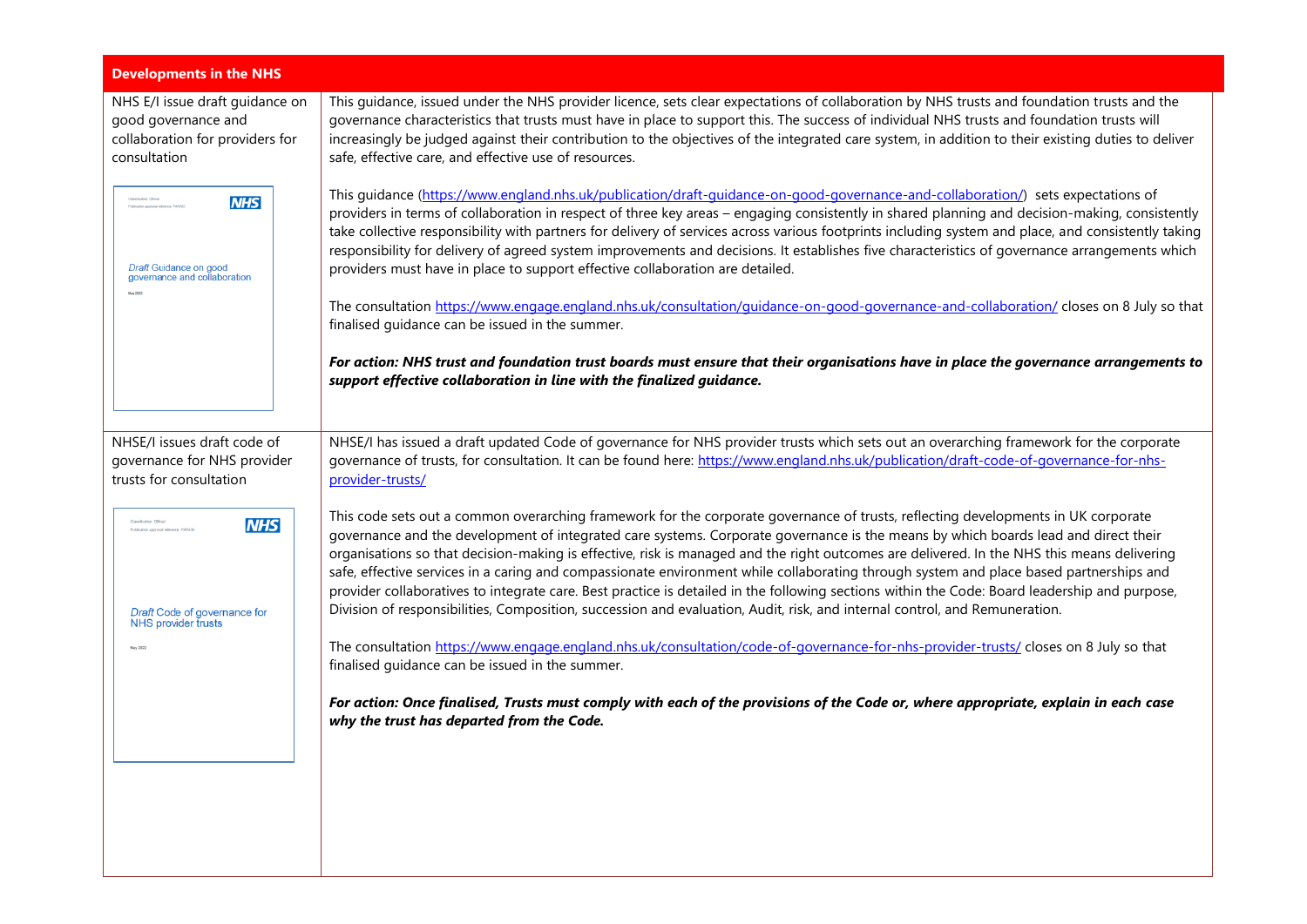| <b>Developments in the NHS</b>                                                                            |                                                                                                                                                                                                                                                                                                                                                                                                                                                                                                                                                                                                                                                                                                                                                                                                                                                |  |
|-----------------------------------------------------------------------------------------------------------|------------------------------------------------------------------------------------------------------------------------------------------------------------------------------------------------------------------------------------------------------------------------------------------------------------------------------------------------------------------------------------------------------------------------------------------------------------------------------------------------------------------------------------------------------------------------------------------------------------------------------------------------------------------------------------------------------------------------------------------------------------------------------------------------------------------------------------------------|--|
| NHS E/I issue draft guidance on<br>good governance and<br>collaboration for providers for<br>consultation | This guidance, issued under the NHS provider licence, sets clear expectations of collaboration by NHS trusts and foundation trusts and the<br>governance characteristics that trusts must have in place to support this. The success of individual NHS trusts and foundation trusts will<br>increasingly be judged against their contribution to the objectives of the integrated care system, in addition to their existing duties to deliver<br>safe, effective care, and effective use of resources.                                                                                                                                                                                                                                                                                                                                        |  |
| Classification: Official<br><b>NHS</b><br>Draft Guidance on good<br>governance and collaboration          | This guidance (https://www.england.nhs.uk/publication/draft-guidance-on-good-governance-and-collaboration/) sets expectations of<br>providers in terms of collaboration in respect of three key areas - engaging consistently in shared planning and decision-making, consistently<br>take collective responsibility with partners for delivery of services across various footprints including system and place, and consistently taking<br>responsibility for delivery of agreed system improvements and decisions. It establishes five characteristics of governance arrangements which<br>providers must have in place to support effective collaboration are detailed.                                                                                                                                                                    |  |
|                                                                                                           | The consultation https://www.engage.england.nhs.uk/consultation/guidance-on-good-governance-and-collaboration/closes on 8 July so that<br>finalised guidance can be issued in the summer.                                                                                                                                                                                                                                                                                                                                                                                                                                                                                                                                                                                                                                                      |  |
|                                                                                                           | For action: NHS trust and foundation trust boards must ensure that their organisations have in place the governance arrangements to<br>support effective collaboration in line with the finalized guidance.                                                                                                                                                                                                                                                                                                                                                                                                                                                                                                                                                                                                                                    |  |
| NHSE/I issues draft code of<br>governance for NHS provider<br>trusts for consultation                     | NHSE/I has issued a draft updated Code of governance for NHS provider trusts which sets out an overarching framework for the corporate<br>governance of trusts, for consultation. It can be found here: https://www.england.nhs.uk/publication/draft-code-of-governance-for-nhs-<br>provider-trusts/                                                                                                                                                                                                                                                                                                                                                                                                                                                                                                                                           |  |
| <b>NHS</b><br>Draft Code of governance for<br><b>NHS</b> provider trusts                                  | This code sets out a common overarching framework for the corporate governance of trusts, reflecting developments in UK corporate<br>governance and the development of integrated care systems. Corporate governance is the means by which boards lead and direct their<br>organisations so that decision-making is effective, risk is managed and the right outcomes are delivered. In the NHS this means delivering<br>safe, effective services in a caring and compassionate environment while collaborating through system and place based partnerships and<br>provider collaboratives to integrate care. Best practice is detailed in the following sections within the Code: Board leadership and purpose,<br>Division of responsibilities, Composition, succession and evaluation, Audit, risk, and internal control, and Remuneration. |  |
| May 202                                                                                                   | The consultation https://www.engage.england.nhs.uk/consultation/code-of-governance-for-nhs-provider-trusts/ closes on 8 July so that<br>finalised guidance can be issued in the summer.                                                                                                                                                                                                                                                                                                                                                                                                                                                                                                                                                                                                                                                        |  |
|                                                                                                           | For action: Once finalised, Trusts must comply with each of the provisions of the Code or, where appropriate, explain in each case<br>why the trust has departed from the Code.                                                                                                                                                                                                                                                                                                                                                                                                                                                                                                                                                                                                                                                                |  |
|                                                                                                           |                                                                                                                                                                                                                                                                                                                                                                                                                                                                                                                                                                                                                                                                                                                                                                                                                                                |  |
|                                                                                                           |                                                                                                                                                                                                                                                                                                                                                                                                                                                                                                                                                                                                                                                                                                                                                                                                                                                |  |
|                                                                                                           |                                                                                                                                                                                                                                                                                                                                                                                                                                                                                                                                                                                                                                                                                                                                                                                                                                                |  |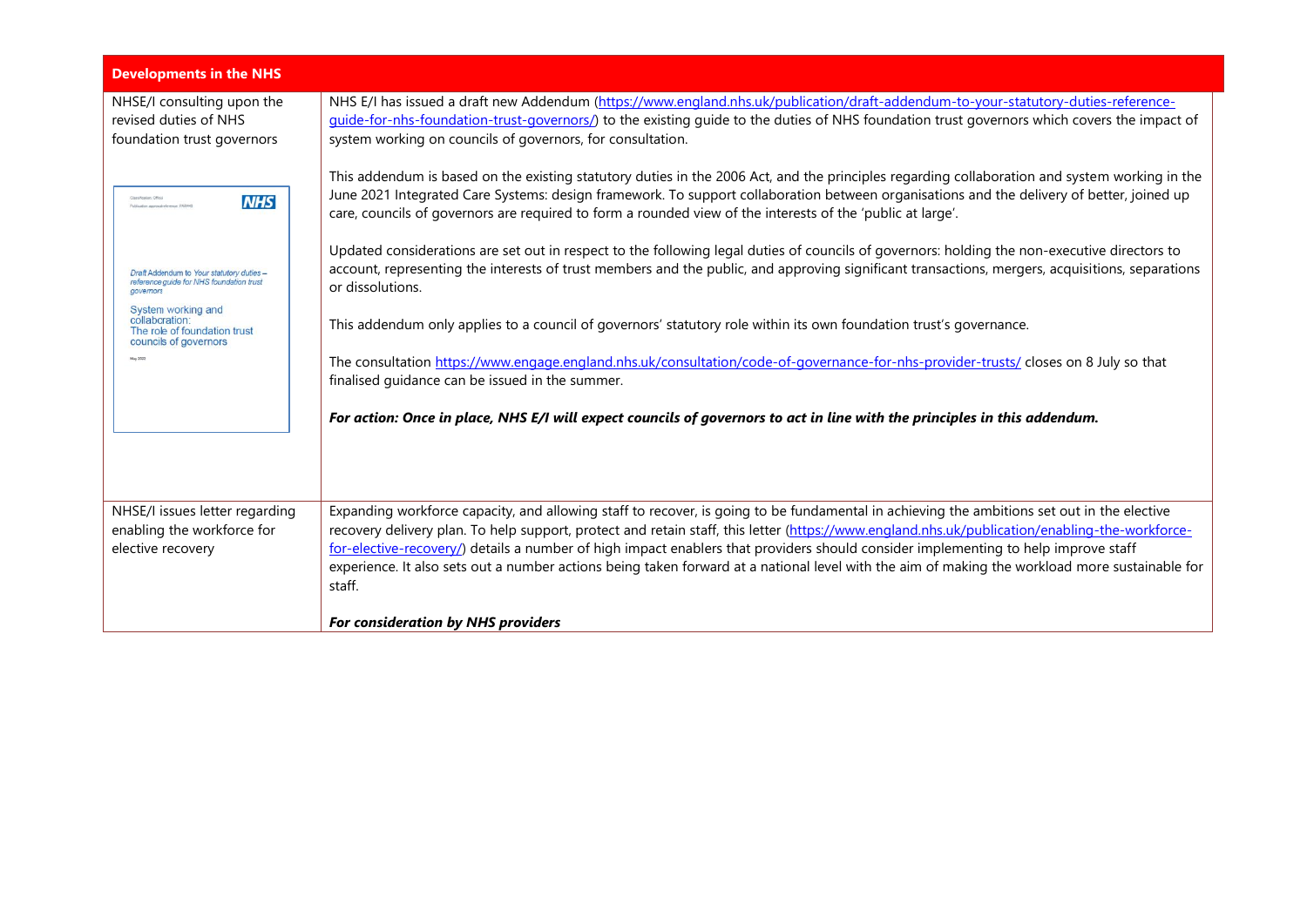| <b>Developments in the NHS</b>                                                                     |                                                                                                                                                                                                                                                                                                                                                                                                          |
|----------------------------------------------------------------------------------------------------|----------------------------------------------------------------------------------------------------------------------------------------------------------------------------------------------------------------------------------------------------------------------------------------------------------------------------------------------------------------------------------------------------------|
| NHSE/I consulting upon the<br>revised duties of NHS<br>foundation trust governors                  | NHS E/I has issued a draft new Addendum (https://www.england.nhs.uk/publication/draft-addendum-to-your-statutory-duties-reference-<br>guide-for-nhs-foundation-trust-governors/) to the existing guide to the duties of NHS foundation trust governors which covers the impact of<br>system working on councils of governors, for consultation.                                                          |
| <b>NHS</b><br>dicator approval refer                                                               | This addendum is based on the existing statutory duties in the 2006 Act, and the principles regarding collaboration and system working in the<br>June 2021 Integrated Care Systems: design framework. To support collaboration between organisations and the delivery of better, joined up<br>care, councils of governors are required to form a rounded view of the interests of the 'public at large'. |
| Draft Addendum to Your statutory duties -<br>reference guide for NHS foundation trust<br>aovernors | Updated considerations are set out in respect to the following legal duties of councils of governors: holding the non-executive directors to<br>account, representing the interests of trust members and the public, and approving significant transactions, mergers, acquisitions, separations<br>or dissolutions.                                                                                      |
| System working and<br>collaboration:<br>The role of foundation trust<br>councils of governors      | This addendum only applies to a council of governors' statutory role within its own foundation trust's governance.                                                                                                                                                                                                                                                                                       |
| May 2022                                                                                           | The consultation https://www.engage.england.nhs.uk/consultation/code-of-governance-for-nhs-provider-trusts/ closes on 8 July so that<br>finalised quidance can be issued in the summer.                                                                                                                                                                                                                  |
|                                                                                                    | For action: Once in place, NHS E/I will expect councils of governors to act in line with the principles in this addendum.                                                                                                                                                                                                                                                                                |
|                                                                                                    |                                                                                                                                                                                                                                                                                                                                                                                                          |
| NHSE/I issues letter regarding                                                                     | Expanding workforce capacity, and allowing staff to recover, is going to be fundamental in achieving the ambitions set out in the elective                                                                                                                                                                                                                                                               |
| enabling the workforce for                                                                         | recovery delivery plan. To help support, protect and retain staff, this letter (https://www.england.nhs.uk/publication/enabling-the-workforce-                                                                                                                                                                                                                                                           |
| elective recovery                                                                                  | for-elective-recovery/) details a number of high impact enablers that providers should consider implementing to help improve staff                                                                                                                                                                                                                                                                       |
|                                                                                                    | experience. It also sets out a number actions being taken forward at a national level with the aim of making the workload more sustainable for<br>staff.                                                                                                                                                                                                                                                 |
|                                                                                                    | <b>For consideration by NHS providers</b>                                                                                                                                                                                                                                                                                                                                                                |